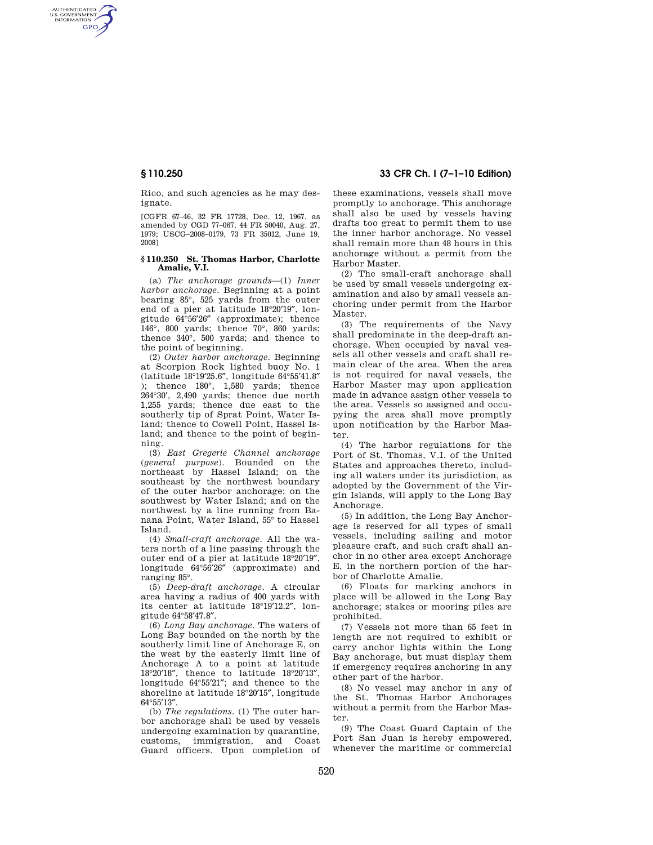AUTHENTICATED<br>U.S. GOVERNMENT<br>INFORMATION **GPO** 

> Rico, and such agencies as he may designate.

> [CGFR 67–46, 32 FR 17728, Dec. 12, 1967, as amended by CGD 77–067, 44 FR 50040, Aug. 27, 1979; USCG–2008–0179, 73 FR 35012, June 19, 2008]

### **§ 110.250 St. Thomas Harbor, Charlotte Amalie, V.I.**

(a) *The anchorage grounds*—(1) *Inner harbor anchorage.* Beginning at a point bearing 85°, 525 yards from the outer end of a pier at latitude 18°20′19″, longitude 64°56′26″ (approximate); thence 146°, 800 yards; thence 70°, 860 yards; thence 340°, 500 yards; and thence to the point of beginning.

(2) *Outer harbor anchorage.* Beginning at Scorpion Rock lighted buoy No. 1 (latitude 18°19′25.6″, longitude 64°55′41.8″ ); thence  $180^\circ$ ,  $1,580$  yards; thence 264°30′, 2,490 yards; thence due north 1,255 yards; thence due east to the southerly tip of Sprat Point, Water Island; thence to Cowell Point, Hassel Island; and thence to the point of beginning.

(3) *East Gregerie Channel anchorage*  (*general purpose*). Bounded on the northeast by Hassel Island; on the southeast by the northwest boundary of the outer harbor anchorage; on the southwest by Water Island; and on the northwest by a line running from Banana Point, Water Island, 55° to Hassel Island.

(4) *Small-craft anchorage.* All the waters north of a line passing through the outer end of a pier at latitude 18°20′19″, longitude 64°56′26″ (approximate) and ranging 85°.

(5) *Deep-draft anchorage.* A circular area having a radius of 400 yards with its center at latitude 18°19′12.2″, longitude 64°58′47.8″.

(6) *Long Bay anchorage.* The waters of Long Bay bounded on the north by the southerly limit line of Anchorage E, on the west by the easterly limit line of Anchorage A to a point at latitude 18°20′18″, thence to latitude 18°20′13″, longitude 64°55′21″; and thence to the shoreline at latitude 18°20′15″, longitude 64°55′13″.

(b) *The regulations.* (1) The outer harbor anchorage shall be used by vessels undergoing examination by quarantine, customs, immigration, and Coast Guard officers. Upon completion of

**§ 110.250 33 CFR Ch. I (7–1–10 Edition)** 

these examinations, vessels shall move promptly to anchorage. This anchorage shall also be used by vessels having drafts too great to permit them to use the inner harbor anchorage. No vessel shall remain more than 48 hours in this anchorage without a permit from the Harbor Master.

(2) The small-craft anchorage shall be used by small vessels undergoing examination and also by small vessels anchoring under permit from the Harbor Master.

(3) The requirements of the Navy shall predominate in the deep-draft anchorage. When occupied by naval vessels all other vessels and craft shall remain clear of the area. When the area is not required for naval vessels, the Harbor Master may upon application made in advance assign other vessels to the area. Vessels so assigned and occupying the area shall move promptly upon notification by the Harbor Master.

(4) The harbor regulations for the Port of St. Thomas, V.I. of the United States and approaches thereto, including all waters under its jurisdiction, as adopted by the Government of the Virgin Islands, will apply to the Long Bay Anchorage.

(5) In addition, the Long Bay Anchorage is reserved for all types of small vessels, including sailing and motor pleasure craft, and such craft shall anchor in no other area except Anchorage E, in the northern portion of the harbor of Charlotte Amalie.

(6) Floats for marking anchors in place will be allowed in the Long Bay anchorage; stakes or mooring piles are prohibited.

(7) Vessels not more than 65 feet in length are not required to exhibit or carry anchor lights within the Long Bay anchorage, but must display them if emergency requires anchoring in any other part of the harbor.

(8) No vessel may anchor in any of the St. Thomas Harbor Anchorages without a permit from the Harbor Master.

(9) The Coast Guard Captain of the Port San Juan is hereby empowered, whenever the maritime or commercial